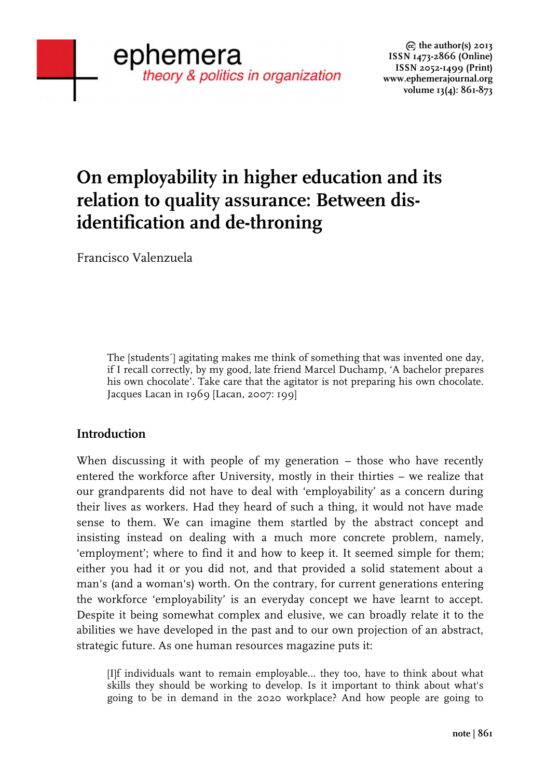# **On employability in higher education and its relation to quality assurance: Between disidentification and de-throning**

Francisco Valenzuela

The [students´] agitating makes me think of something that was invented one day, if I recall correctly, by my good, late friend Marcel Duchamp, 'A bachelor prepares his own chocolate'. Take care that the agitator is not preparing his own chocolate. Jacques Lacan in 1969 [Lacan, 2007: 199]

## **Introduction**

When discussing it with people of my generation – those who have recently entered the workforce after University, mostly in their thirties – we realize that our grandparents did not have to deal with 'employability' as a concern during their lives as workers. Had they heard of such a thing, it would not have made sense to them. We can imagine them startled by the abstract concept and insisting instead on dealing with a much more concrete problem, namely, 'employment'; where to find it and how to keep it. It seemed simple for them; either you had it or you did not, and that provided a solid statement about a man's (and a woman's) worth. On the contrary, for current generations entering the workforce 'employability' is an everyday concept we have learnt to accept. Despite it being somewhat complex and elusive, we can broadly relate it to the abilities we have developed in the past and to our own projection of an abstract, strategic future. As one human resources magazine puts it:

[I]f individuals want to remain employable… they too, have to think about what skills they should be working to develop. Is it important to think about what's going to be in demand in the 2020 workplace? And how people are going to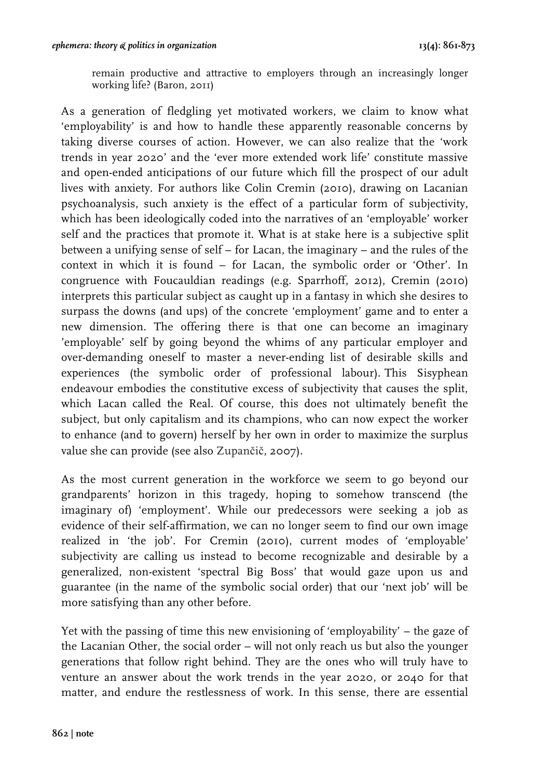remain productive and attractive to employers through an increasingly longer working life? (Baron, 2011)

As a generation of fledgling yet motivated workers, we claim to know what 'employability' is and how to handle these apparently reasonable concerns by taking diverse courses of action. However, we can also realize that the 'work trends in year 2020' and the 'ever more extended work life' constitute massive and open-ended anticipations of our future which fill the prospect of our adult lives with anxiety. For authors like Colin Cremin (2010), drawing on Lacanian psychoanalysis, such anxiety is the effect of a particular form of subjectivity, which has been ideologically coded into the narratives of an 'employable' worker self and the practices that promote it. What is at stake here is a subjective split between a unifying sense of self – for Lacan, the imaginary – and the rules of the context in which it is found – for Lacan, the symbolic order or 'Other'. In congruence with Foucauldian readings (e.g. Sparrhoff, 2012), Cremin (2010) interprets this particular subject as caught up in a fantasy in which she desires to surpass the downs (and ups) of the concrete 'employment' game and to enter a new dimension. The offering there is that one can become an imaginary 'employable' self by going beyond the whims of any particular employer and over-demanding oneself to master a never-ending list of desirable skills and experiences (the symbolic order of professional labour). This Sisyphean endeavour embodies the constitutive excess of subjectivity that causes the split, which Lacan called the Real. Of course, this does not ultimately benefit the subject, but only capitalism and its champions, who can now expect the worker to enhance (and to govern) herself by her own in order to maximize the surplus value she can provide (see also Zupančič, 2007).

As the most current generation in the workforce we seem to go beyond our grandparents' horizon in this tragedy, hoping to somehow transcend (the imaginary of) 'employment'. While our predecessors were seeking a job as evidence of their self-affirmation, we can no longer seem to find our own image realized in 'the job'. For Cremin (2010), current modes of 'employable' subjectivity are calling us instead to become recognizable and desirable by a generalized, non-existent 'spectral Big Boss' that would gaze upon us and guarantee (in the name of the symbolic social order) that our 'next job' will be more satisfying than any other before.

Yet with the passing of time this new envisioning of 'employability' – the gaze of the Lacanian Other, the social order – will not only reach us but also the younger generations that follow right behind. They are the ones who will truly have to venture an answer about the work trends in the year 2020, or 2040 for that matter, and endure the restlessness of work. In this sense, there are essential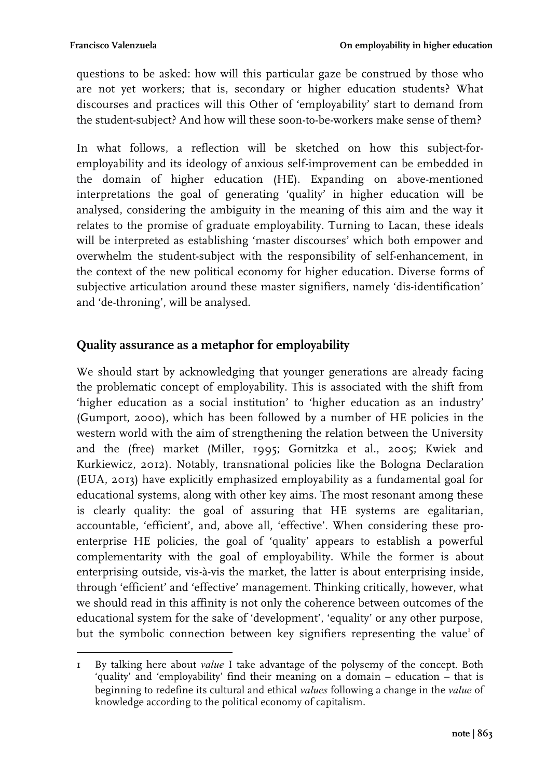questions to be asked: how will this particular gaze be construed by those who are not yet workers; that is, secondary or higher education students? What discourses and practices will this Other of 'employability' start to demand from the student-subject? And how will these soon-to-be-workers make sense of them?

In what follows, a reflection will be sketched on how this subject-foremployability and its ideology of anxious self-improvement can be embedded in the domain of higher education (HE). Expanding on above-mentioned interpretations the goal of generating 'quality' in higher education will be analysed, considering the ambiguity in the meaning of this aim and the way it relates to the promise of graduate employability. Turning to Lacan, these ideals will be interpreted as establishing 'master discourses' which both empower and overwhelm the student-subject with the responsibility of self-enhancement, in the context of the new political economy for higher education. Diverse forms of subjective articulation around these master signifiers, namely 'dis-identification' and 'de-throning', will be analysed.

# **Quality assurance as a metaphor for employability**

We should start by acknowledging that younger generations are already facing the problematic concept of employability. This is associated with the shift from 'higher education as a social institution' to 'higher education as an industry' (Gumport, 2000), which has been followed by a number of HE policies in the western world with the aim of strengthening the relation between the University and the (free) market (Miller, 1995; Gornitzka et al., 2005; Kwiek and Kurkiewicz, 2012). Notably, transnational policies like the Bologna Declaration (EUA, 2013) have explicitly emphasized employability as a fundamental goal for educational systems, along with other key aims. The most resonant among these is clearly quality: the goal of assuring that HE systems are egalitarian, accountable, 'efficient', and, above all, 'effective'. When considering these proenterprise HE policies, the goal of 'quality' appears to establish a powerful complementarity with the goal of employability. While the former is about enterprising outside, vis-à-vis the market, the latter is about enterprising inside, through 'efficient' and 'effective' management. Thinking critically, however, what we should read in this affinity is not only the coherence between outcomes of the educational system for the sake of 'development', 'equality' or any other purpose, but the symbolic connection between key signifiers representing the value<sup>1</sup> of

<sup>&</sup>lt;u> Alexandria (h. 1888).</u><br>1905 - Johann Barnett, fizikar fizikar eta biztanleria (h. 1808). 1 By talking here about *value* I take advantage of the polysemy of the concept. Both 'quality' and 'employability' find their meaning on a domain – education – that is beginning to redefine its cultural and ethical *values* following a change in the *value* of knowledge according to the political economy of capitalism.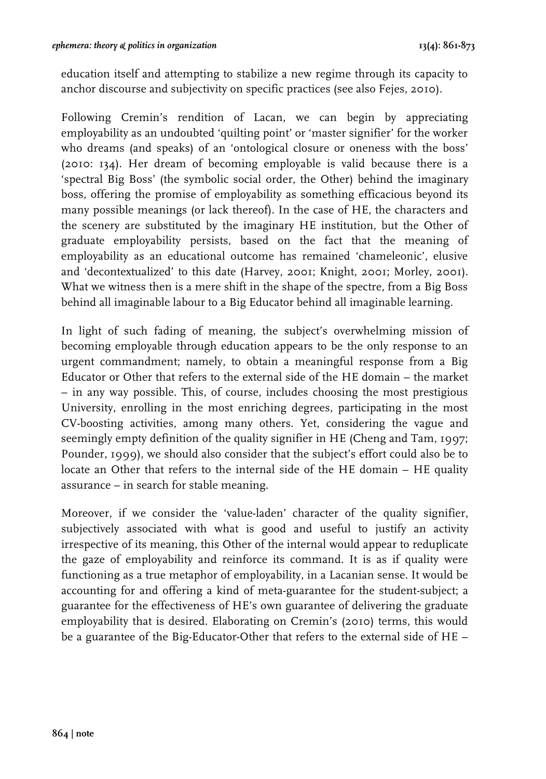education itself and attempting to stabilize a new regime through its capacity to anchor discourse and subjectivity on specific practices (see also Fejes, 2010).

Following Cremin's rendition of Lacan, we can begin by appreciating employability as an undoubted 'quilting point' or 'master signifier' for the worker who dreams (and speaks) of an 'ontological closure or oneness with the boss' (2010: 134). Her dream of becoming employable is valid because there is a 'spectral Big Boss' (the symbolic social order, the Other) behind the imaginary boss, offering the promise of employability as something efficacious beyond its many possible meanings (or lack thereof). In the case of HE, the characters and the scenery are substituted by the imaginary HE institution, but the Other of graduate employability persists, based on the fact that the meaning of employability as an educational outcome has remained 'chameleonic', elusive and 'decontextualized' to this date (Harvey, 2001; Knight, 2001; Morley, 2001). What we witness then is a mere shift in the shape of the spectre, from a Big Boss behind all imaginable labour to a Big Educator behind all imaginable learning.

In light of such fading of meaning, the subject's overwhelming mission of becoming employable through education appears to be the only response to an urgent commandment; namely, to obtain a meaningful response from a Big Educator or Other that refers to the external side of the HE domain – the market – in any way possible. This, of course, includes choosing the most prestigious University, enrolling in the most enriching degrees, participating in the most CV-boosting activities, among many others. Yet, considering the vague and seemingly empty definition of the quality signifier in HE (Cheng and Tam, 1997; Pounder, 1999), we should also consider that the subject's effort could also be to locate an Other that refers to the internal side of the HE domain – HE quality assurance – in search for stable meaning.

Moreover, if we consider the 'value-laden' character of the quality signifier, subjectively associated with what is good and useful to justify an activity irrespective of its meaning, this Other of the internal would appear to reduplicate the gaze of employability and reinforce its command. It is as if quality were functioning as a true metaphor of employability, in a Lacanian sense. It would be accounting for and offering a kind of meta-guarantee for the student-subject; a guarantee for the effectiveness of HE's own guarantee of delivering the graduate employability that is desired. Elaborating on Cremin's (2010) terms, this would be a guarantee of the Big-Educator-Other that refers to the external side of HE –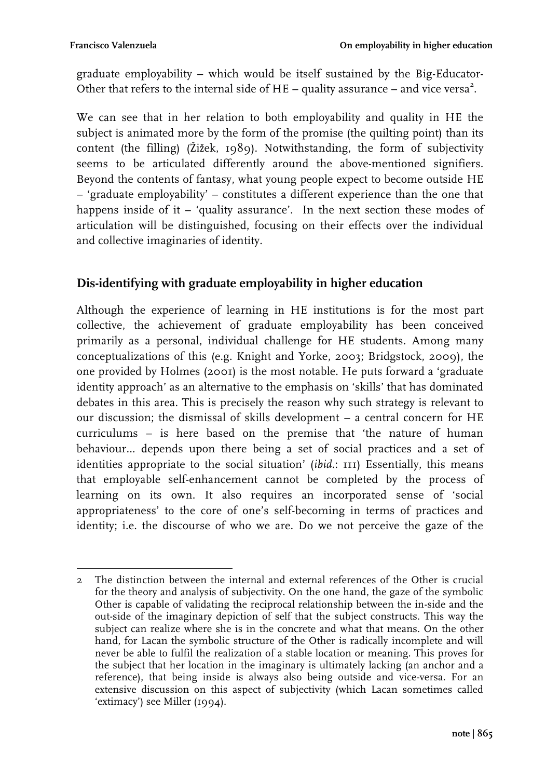graduate employability – which would be itself sustained by the Big-Educator-Other that refers to the internal side of  $HE -$  quality assurance  $-$  and vice versa<sup>2</sup>.

We can see that in her relation to both employability and quality in HE the subject is animated more by the form of the promise (the quilting point) than its content (the filling) (Žižek, 1989). Notwithstanding, the form of subjectivity seems to be articulated differently around the above-mentioned signifiers. Beyond the contents of fantasy, what young people expect to become outside HE – 'graduate employability' – constitutes a different experience than the one that happens inside of it – 'quality assurance'. In the next section these modes of articulation will be distinguished, focusing on their effects over the individual and collective imaginaries of identity.

# **Dis-identifying with graduate employability in higher education**

Although the experience of learning in HE institutions is for the most part collective, the achievement of graduate employability has been conceived primarily as a personal, individual challenge for HE students. Among many conceptualizations of this (e.g. Knight and Yorke, 2003; Bridgstock, 2009), the one provided by Holmes (2001) is the most notable. He puts forward a 'graduate identity approach' as an alternative to the emphasis on 'skills' that has dominated debates in this area. This is precisely the reason why such strategy is relevant to our discussion; the dismissal of skills development – a central concern for HE curriculums – is here based on the premise that 'the nature of human behaviour… depends upon there being a set of social practices and a set of identities appropriate to the social situation' (*ibid*.: 111) Essentially, this means that employable self-enhancement cannot be completed by the process of learning on its own. It also requires an incorporated sense of 'social appropriateness' to the core of one's self-becoming in terms of practices and identity; i.e. the discourse of who we are. Do we not perceive the gaze of the

 2 The distinction between the internal and external references of the Other is crucial for the theory and analysis of subjectivity. On the one hand, the gaze of the symbolic Other is capable of validating the reciprocal relationship between the in-side and the out-side of the imaginary depiction of self that the subject constructs. This way the subject can realize where she is in the concrete and what that means. On the other hand, for Lacan the symbolic structure of the Other is radically incomplete and will never be able to fulfil the realization of a stable location or meaning. This proves for the subject that her location in the imaginary is ultimately lacking (an anchor and a reference), that being inside is always also being outside and vice-versa. For an extensive discussion on this aspect of subjectivity (which Lacan sometimes called 'extimacy') see Miller (1994).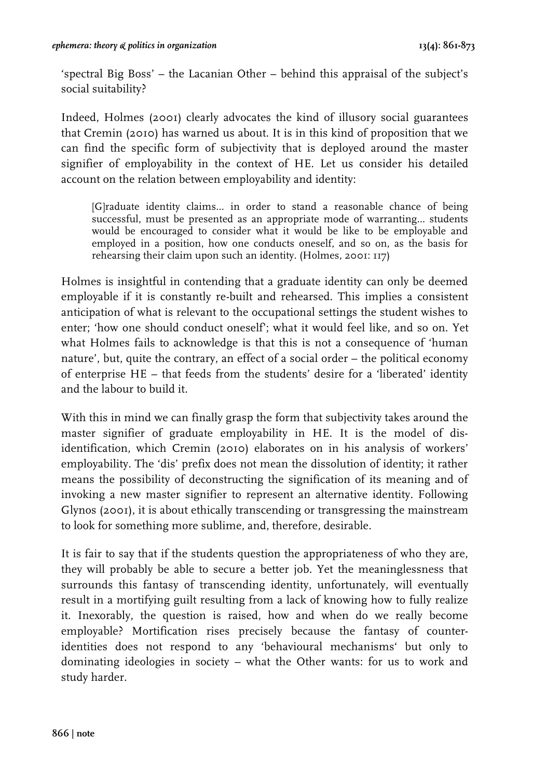'spectral Big Boss' – the Lacanian Other – behind this appraisal of the subject's social suitability?

Indeed, Holmes (2001) clearly advocates the kind of illusory social guarantees that Cremin (2010) has warned us about. It is in this kind of proposition that we can find the specific form of subjectivity that is deployed around the master signifier of employability in the context of HE. Let us consider his detailed account on the relation between employability and identity:

[G]raduate identity claims… in order to stand a reasonable chance of being successful, must be presented as an appropriate mode of warranting… students would be encouraged to consider what it would be like to be employable and employed in a position, how one conducts oneself, and so on, as the basis for rehearsing their claim upon such an identity. (Holmes, 2001: 117)

Holmes is insightful in contending that a graduate identity can only be deemed employable if it is constantly re-built and rehearsed. This implies a consistent anticipation of what is relevant to the occupational settings the student wishes to enter; 'how one should conduct oneself'; what it would feel like, and so on. Yet what Holmes fails to acknowledge is that this is not a consequence of 'human nature', but, quite the contrary, an effect of a social order – the political economy of enterprise HE – that feeds from the students' desire for a 'liberated' identity and the labour to build it.

With this in mind we can finally grasp the form that subjectivity takes around the master signifier of graduate employability in HE. It is the model of disidentification, which Cremin (2010) elaborates on in his analysis of workers' employability. The 'dis' prefix does not mean the dissolution of identity; it rather means the possibility of deconstructing the signification of its meaning and of invoking a new master signifier to represent an alternative identity. Following Glynos (2001), it is about ethically transcending or transgressing the mainstream to look for something more sublime, and, therefore, desirable.

It is fair to say that if the students question the appropriateness of who they are, they will probably be able to secure a better job. Yet the meaninglessness that surrounds this fantasy of transcending identity, unfortunately, will eventually result in a mortifying guilt resulting from a lack of knowing how to fully realize it. Inexorably, the question is raised, how and when do we really become employable? Mortification rises precisely because the fantasy of counteridentities does not respond to any 'behavioural mechanisms' but only to dominating ideologies in society – what the Other wants: for us to work and study harder.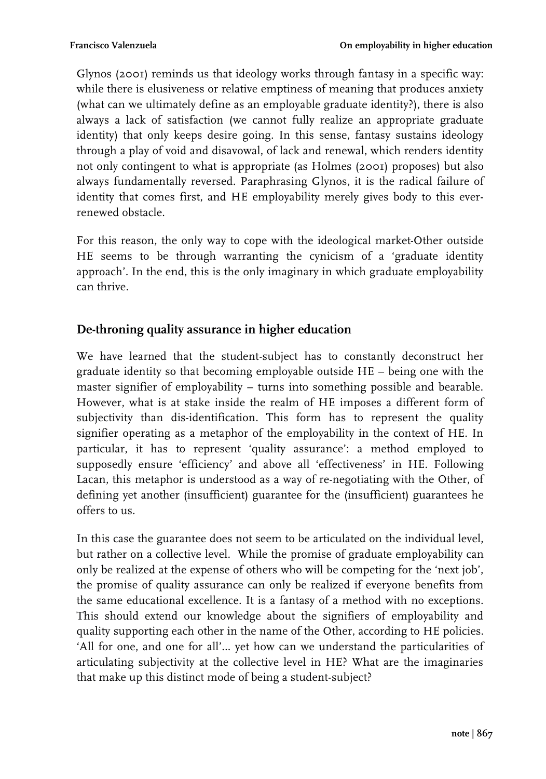Glynos (2001) reminds us that ideology works through fantasy in a specific way: while there is elusiveness or relative emptiness of meaning that produces anxiety (what can we ultimately define as an employable graduate identity?), there is also always a lack of satisfaction (we cannot fully realize an appropriate graduate identity) that only keeps desire going. In this sense, fantasy sustains ideology through a play of void and disavowal, of lack and renewal, which renders identity not only contingent to what is appropriate (as Holmes (2001) proposes) but also always fundamentally reversed. Paraphrasing Glynos, it is the radical failure of identity that comes first, and HE employability merely gives body to this everrenewed obstacle.

For this reason, the only way to cope with the ideological market-Other outside HE seems to be through warranting the cynicism of a 'graduate identity approach'. In the end, this is the only imaginary in which graduate employability can thrive.

# **De-throning quality assurance in higher education**

We have learned that the student-subject has to constantly deconstruct her graduate identity so that becoming employable outside HE – being one with the master signifier of employability – turns into something possible and bearable. However, what is at stake inside the realm of HE imposes a different form of subjectivity than dis-identification. This form has to represent the quality signifier operating as a metaphor of the employability in the context of HE. In particular, it has to represent 'quality assurance': a method employed to supposedly ensure 'efficiency' and above all 'effectiveness' in HE. Following Lacan, this metaphor is understood as a way of re-negotiating with the Other, of defining yet another (insufficient) guarantee for the (insufficient) guarantees he offers to us.

In this case the guarantee does not seem to be articulated on the individual level, but rather on a collective level. While the promise of graduate employability can only be realized at the expense of others who will be competing for the 'next job', the promise of quality assurance can only be realized if everyone benefits from the same educational excellence. It is a fantasy of a method with no exceptions. This should extend our knowledge about the signifiers of employability and quality supporting each other in the name of the Other, according to HE policies. 'All for one, and one for all'… yet how can we understand the particularities of articulating subjectivity at the collective level in HE? What are the imaginaries that make up this distinct mode of being a student-subject?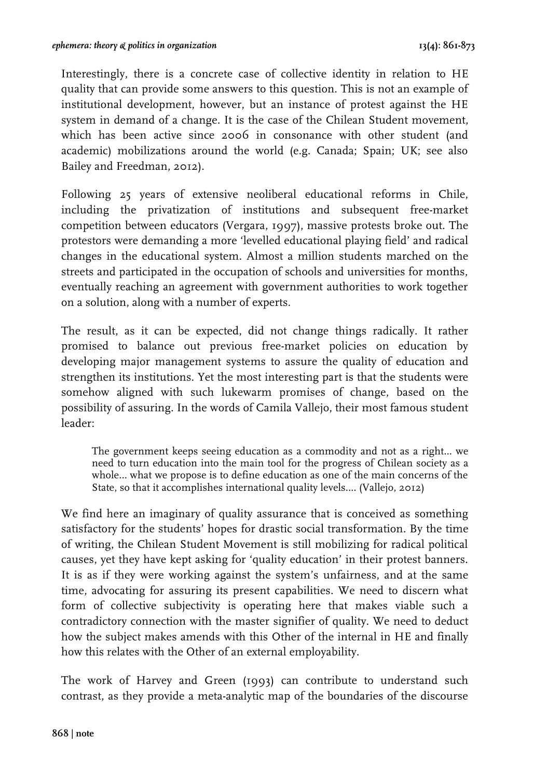Interestingly, there is a concrete case of collective identity in relation to HE quality that can provide some answers to this question. This is not an example of institutional development, however, but an instance of protest against the HE system in demand of a change. It is the case of the Chilean Student movement, which has been active since 2006 in consonance with other student (and academic) mobilizations around the world (e.g. Canada; Spain; UK; see also Bailey and Freedman, 2012).

Following 25 years of extensive neoliberal educational reforms in Chile, including the privatization of institutions and subsequent free-market competition between educators (Vergara, 1997), massive protests broke out. The protestors were demanding a more 'levelled educational playing field' and radical changes in the educational system. Almost a million students marched on the streets and participated in the occupation of schools and universities for months, eventually reaching an agreement with government authorities to work together on a solution, along with a number of experts.

The result, as it can be expected, did not change things radically. It rather promised to balance out previous free-market policies on education by developing major management systems to assure the quality of education and strengthen its institutions. Yet the most interesting part is that the students were somehow aligned with such lukewarm promises of change, based on the possibility of assuring. In the words of Camila Vallejo, their most famous student leader:

The government keeps seeing education as a commodity and not as a right… we need to turn education into the main tool for the progress of Chilean society as a whole… what we propose is to define education as one of the main concerns of the State, so that it accomplishes international quality levels…. (Vallejo, 2012)

We find here an imaginary of quality assurance that is conceived as something satisfactory for the students' hopes for drastic social transformation. By the time of writing, the Chilean Student Movement is still mobilizing for radical political causes, yet they have kept asking for 'quality education' in their protest banners. It is as if they were working against the system's unfairness, and at the same time, advocating for assuring its present capabilities. We need to discern what form of collective subjectivity is operating here that makes viable such a contradictory connection with the master signifier of quality. We need to deduct how the subject makes amends with this Other of the internal in HE and finally how this relates with the Other of an external employability.

The work of Harvey and Green (1993) can contribute to understand such contrast, as they provide a meta-analytic map of the boundaries of the discourse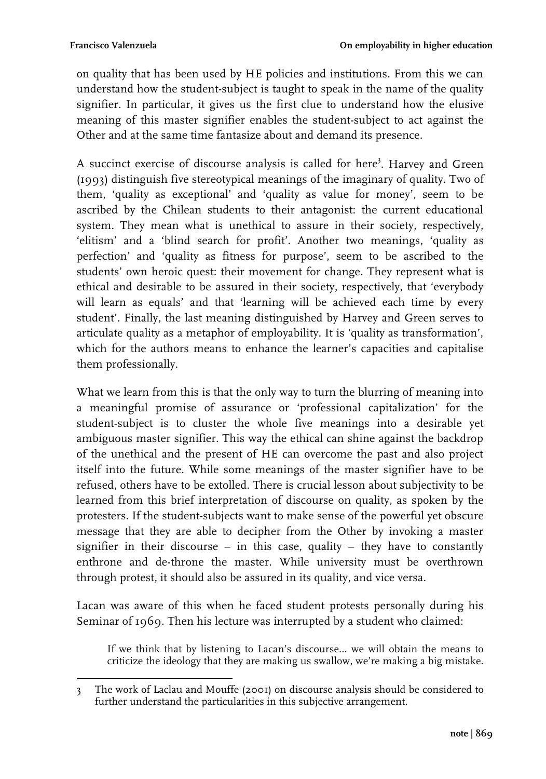on quality that has been used by HE policies and institutions. From this we can understand how the student-subject is taught to speak in the name of the quality signifier. In particular, it gives us the first clue to understand how the elusive meaning of this master signifier enables the student-subject to act against the Other and at the same time fantasize about and demand its presence.

A succinct exercise of discourse analysis is called for here<sup>3</sup>. Harvey and Green (1993) distinguish five stereotypical meanings of the imaginary of quality. Two of them, 'quality as exceptional' and 'quality as value for money', seem to be ascribed by the Chilean students to their antagonist: the current educational system. They mean what is unethical to assure in their society, respectively, 'elitism' and a 'blind search for profit'. Another two meanings, 'quality as perfection' and 'quality as fitness for purpose', seem to be ascribed to the students' own heroic quest: their movement for change. They represent what is ethical and desirable to be assured in their society, respectively, that 'everybody will learn as equals' and that 'learning will be achieved each time by every student'. Finally, the last meaning distinguished by Harvey and Green serves to articulate quality as a metaphor of employability. It is 'quality as transformation', which for the authors means to enhance the learner's capacities and capitalise them professionally.

What we learn from this is that the only way to turn the blurring of meaning into a meaningful promise of assurance or 'professional capitalization' for the student-subject is to cluster the whole five meanings into a desirable yet ambiguous master signifier. This way the ethical can shine against the backdrop of the unethical and the present of HE can overcome the past and also project itself into the future. While some meanings of the master signifier have to be refused, others have to be extolled. There is crucial lesson about subjectivity to be learned from this brief interpretation of discourse on quality, as spoken by the protesters. If the student-subjects want to make sense of the powerful yet obscure message that they are able to decipher from the Other by invoking a master signifier in their discourse – in this case, quality – they have to constantly enthrone and de-throne the master. While university must be overthrown through protest, it should also be assured in its quality, and vice versa.

Lacan was aware of this when he faced student protests personally during his Seminar of 1969. Then his lecture was interrupted by a student who claimed:

If we think that by listening to Lacan's discourse… we will obtain the means to criticize the ideology that they are making us swallow, we're making a big mistake.

 3 The work of Laclau and Mouffe (2001) on discourse analysis should be considered to further understand the particularities in this subjective arrangement.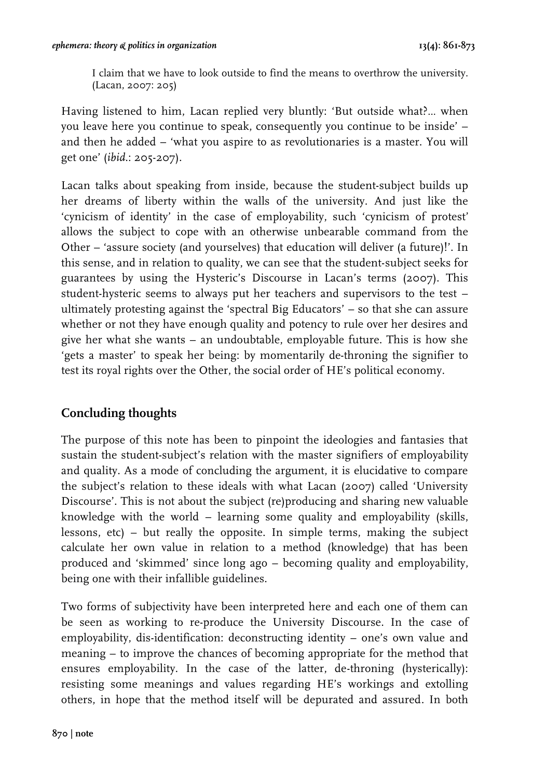I claim that we have to look outside to find the means to overthrow the university. (Lacan, 2007: 205)

Having listened to him, Lacan replied very bluntly: 'But outside what?… when you leave here you continue to speak, consequently you continue to be inside' – and then he added – 'what you aspire to as revolutionaries is a master. You will get one' (*ibid*.: 205-207).

Lacan talks about speaking from inside, because the student-subject builds up her dreams of liberty within the walls of the university. And just like the 'cynicism of identity' in the case of employability, such 'cynicism of protest' allows the subject to cope with an otherwise unbearable command from the Other – 'assure society (and yourselves) that education will deliver (a future)!'. In this sense, and in relation to quality, we can see that the student-subject seeks for guarantees by using the Hysteric's Discourse in Lacan's terms (2007). This student-hysteric seems to always put her teachers and supervisors to the test – ultimately protesting against the 'spectral Big Educators' – so that she can assure whether or not they have enough quality and potency to rule over her desires and give her what she wants – an undoubtable, employable future. This is how she 'gets a master' to speak her being: by momentarily de-throning the signifier to test its royal rights over the Other, the social order of HE's political economy.

# **Concluding thoughts**

The purpose of this note has been to pinpoint the ideologies and fantasies that sustain the student-subject's relation with the master signifiers of employability and quality. As a mode of concluding the argument, it is elucidative to compare the subject's relation to these ideals with what Lacan (2007) called 'University Discourse'. This is not about the subject (re)producing and sharing new valuable knowledge with the world – learning some quality and employability (skills, lessons, etc) – but really the opposite. In simple terms, making the subject calculate her own value in relation to a method (knowledge) that has been produced and 'skimmed' since long ago – becoming quality and employability, being one with their infallible guidelines.

Two forms of subjectivity have been interpreted here and each one of them can be seen as working to re-produce the University Discourse. In the case of employability, dis-identification: deconstructing identity – one's own value and meaning – to improve the chances of becoming appropriate for the method that ensures employability. In the case of the latter, de-throning (hysterically): resisting some meanings and values regarding HE's workings and extolling others, in hope that the method itself will be depurated and assured. In both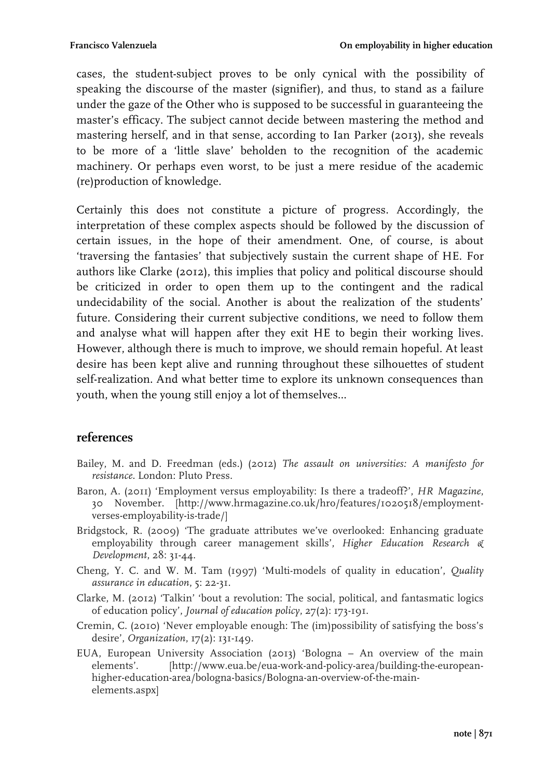cases, the student-subject proves to be only cynical with the possibility of speaking the discourse of the master (signifier), and thus, to stand as a failure under the gaze of the Other who is supposed to be successful in guaranteeing the master's efficacy. The subject cannot decide between mastering the method and mastering herself, and in that sense, according to Ian Parker (2013), she reveals to be more of a 'little slave' beholden to the recognition of the academic machinery. Or perhaps even worst, to be just a mere residue of the academic (re)production of knowledge.

Certainly this does not constitute a picture of progress. Accordingly, the interpretation of these complex aspects should be followed by the discussion of certain issues, in the hope of their amendment. One, of course, is about 'traversing the fantasies' that subjectively sustain the current shape of HE. For authors like Clarke (2012), this implies that policy and political discourse should be criticized in order to open them up to the contingent and the radical undecidability of the social. Another is about the realization of the students' future. Considering their current subjective conditions, we need to follow them and analyse what will happen after they exit HE to begin their working lives. However, although there is much to improve, we should remain hopeful. At least desire has been kept alive and running throughout these silhouettes of student self-realization. And what better time to explore its unknown consequences than youth, when the young still enjoy a lot of themselves…

#### **references**

- Bailey, M. and D. Freedman (eds.) (2012) *The assault on universities: A manifesto for resistance.* London: Pluto Press.
- Baron, A. (2011) 'Employment versus employability: Is there a tradeoff?', *HR Magazine*, 30 November. [http://www.hrmagazine.co.uk/hro/features/1020518/employmentverses-employability-is-trade/]
- Bridgstock, R. (2009) 'The graduate attributes we've overlooked: Enhancing graduate employability through career management skills', *Higher Education Research & Development*, 28: 31-44.
- Cheng, Y. C. and W. M. Tam (1997) 'Multi-models of quality in education', *Quality assurance in education*, 5: 22-31.
- Clarke, M. (2012) 'Talkin' 'bout a revolution: The social, political, and fantasmatic logics of education policy', *Journal of education policy*, 27(2): 173-191.
- Cremin, C. (2010) 'Never employable enough: The (im)possibility of satisfying the boss's desire', *Organization*, 17(2): 131-149.
- EUA, European University Association (2013) 'Bologna An overview of the main elements'. [http://www.eua.be/eua-work-and-policy-area/building-the-europeanhigher-education-area/bologna-basics/Bologna-an-overview-of-the-mainelements.aspx]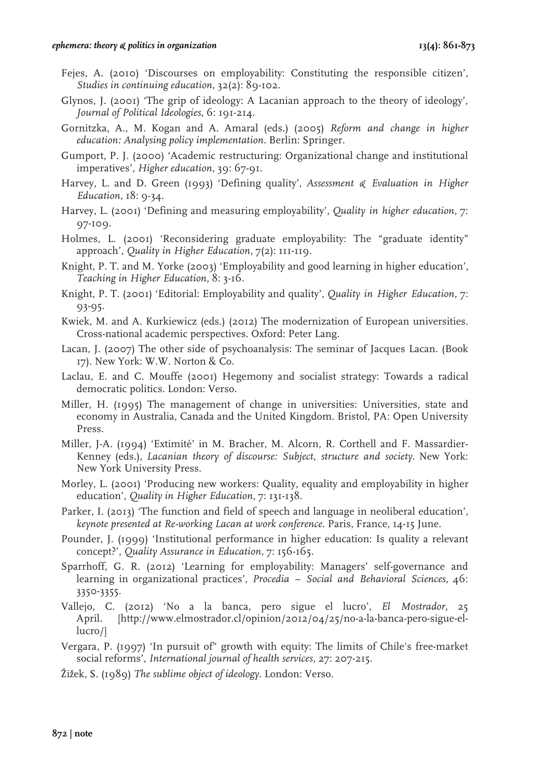- Fejes, A. (2010) 'Discourses on employability: Constituting the responsible citizen', *Studies in continuing education*, 32(2): 89-102.
- Glynos, J. (2001) 'The grip of ideology: A Lacanian approach to the theory of ideology', *Journal of Political Ideologies*, 6: 191-214.
- Gornitzka, A., M. Kogan and A. Amaral (eds.) (2005) *Reform and change in higher education: Analysing policy implementation*. Berlin: Springer.
- Gumport, P. J. (2000) 'Academic restructuring: Organizational change and institutional imperatives', *Higher education*, 39: 67-91.
- Harvey, L. and D. Green (1993) 'Defining quality', *Assessment & Evaluation in Higher Education*, 18: 9-34.
- Harvey, L. (2001) 'Defining and measuring employability', *Quality in higher education*, 7: 97-109.
- Holmes, L. (2001) 'Reconsidering graduate employability: The "graduate identity" approach', *Quality in Higher Education*, 7(2): 111-119.
- Knight, P. T. and M. Yorke (2003) 'Employability and good learning in higher education', *Teaching in Higher Education*, 8: 3-16.
- Knight, P. T. (2001) 'Editorial: Employability and quality', *Quality in Higher Education*, 7: 93-95.
- Kwiek, M. and A. Kurkiewicz (eds.) (2012) The modernization of European universities. Cross-national academic perspectives. Oxford: Peter Lang.
- Lacan, J. (2007) The other side of psychoanalysis: The seminar of Jacques Lacan. (Book 17). New York: W.W. Norton & Co.
- Laclau, E. and C. Mouffe (2001) Hegemony and socialist strategy: Towards a radical democratic politics. London: Verso.
- Miller, H. (1995) The management of change in universities: Universities, state and economy in Australia, Canada and the United Kingdom. Bristol, PA: Open University Press.
- Miller, J-A. (1994) 'Extimité' in M. Bracher, M. Alcorn, R. Corthell and F. Massardier-Kenney (eds.), *Lacanian theory of discourse: Subject, structure and society*. New York: New York University Press.
- Morley, L. (2001) 'Producing new workers: Quality, equality and employability in higher education', *Quality in Higher Education*, 7: 131-138.
- Parker, I. (2013) 'The function and field of speech and language in neoliberal education', *keynote presented at Re-working Lacan at work conference*. Paris, France, 14-15 June.
- Pounder, J. (1999) 'Institutional performance in higher education: Is quality a relevant concept?', *Quality Assurance in Education*, 7: 156-165.
- Sparrhoff, G. R. (2012) 'Learning for employability: Managers' self-governance and learning in organizational practices', *Procedia – Social and Behavioral Sciences*, 46: 3350-3355.
- Vallejo, C. (2012) 'No a la banca, pero sigue el lucro', *El Mostrador*, 25 April. [http://www.elmostrador.cl/opinion/2012/04/25/no-a-la-banca-pero-sigue-ellucro/]
- Vergara, P. (1997) 'In pursuit of" growth with equity: The limits of Chile's free-market social reforms', *International journal of health services*, 27: 207-215.
- Žižek, S. (1989) *The sublime object of ideology*. London: Verso.